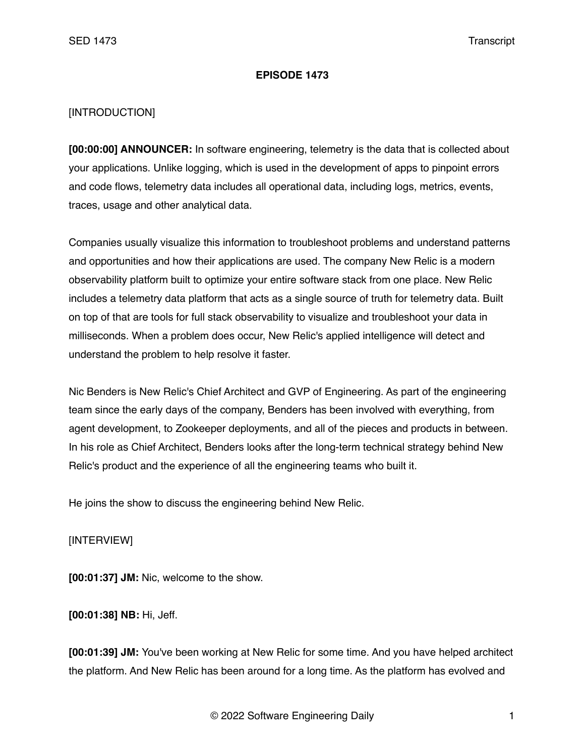## **EPISODE 1473**

## [INTRODUCTION]

**[00:00:00] ANNOUNCER:** In software engineering, telemetry is the data that is collected about your applications. Unlike logging, which is used in the development of apps to pinpoint errors and code flows, telemetry data includes all operational data, including logs, metrics, events, traces, usage and other analytical data.

Companies usually visualize this information to troubleshoot problems and understand patterns and opportunities and how their applications are used. The company New Relic is a modern observability platform built to optimize your entire software stack from one place. New Relic includes a telemetry data platform that acts as a single source of truth for telemetry data. Built on top of that are tools for full stack observability to visualize and troubleshoot your data in milliseconds. When a problem does occur, New Relic's applied intelligence will detect and understand the problem to help resolve it faster.

Nic Benders is New Relic's Chief Architect and GVP of Engineering. As part of the engineering team since the early days of the company, Benders has been involved with everything, from agent development, to Zookeeper deployments, and all of the pieces and products in between. In his role as Chief Architect, Benders looks after the long-term technical strategy behind New Relic's product and the experience of all the engineering teams who built it.

He joins the show to discuss the engineering behind New Relic.

## [INTERVIEW]

**[00:01:37] JM:** Nic, welcome to the show.

**[00:01:38] NB:** Hi, Jeff.

**[00:01:39] JM:** You've been working at New Relic for some time. And you have helped architect the platform. And New Relic has been around for a long time. As the platform has evolved and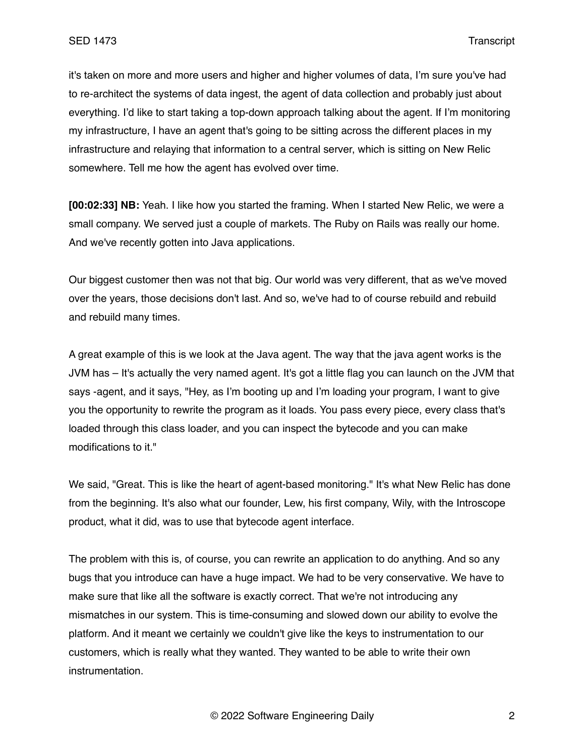it's taken on more and more users and higher and higher volumes of data, I'm sure you've had to re-architect the systems of data ingest, the agent of data collection and probably just about everything. I'd like to start taking a top-down approach talking about the agent. If I'm monitoring my infrastructure, I have an agent that's going to be sitting across the different places in my infrastructure and relaying that information to a central server, which is sitting on New Relic somewhere. Tell me how the agent has evolved over time.

**[00:02:33] NB:** Yeah. I like how you started the framing. When I started New Relic, we were a small company. We served just a couple of markets. The Ruby on Rails was really our home. And we've recently gotten into Java applications.

Our biggest customer then was not that big. Our world was very different, that as we've moved over the years, those decisions don't last. And so, we've had to of course rebuild and rebuild and rebuild many times.

A great example of this is we look at the Java agent. The way that the java agent works is the JVM has – It's actually the very named agent. It's got a little flag you can launch on the JVM that says -agent, and it says, "Hey, as I'm booting up and I'm loading your program, I want to give you the opportunity to rewrite the program as it loads. You pass every piece, every class that's loaded through this class loader, and you can inspect the bytecode and you can make modifications to it."

We said, "Great. This is like the heart of agent-based monitoring." It's what New Relic has done from the beginning. It's also what our founder, Lew, his first company, Wily, with the Introscope product, what it did, was to use that bytecode agent interface.

The problem with this is, of course, you can rewrite an application to do anything. And so any bugs that you introduce can have a huge impact. We had to be very conservative. We have to make sure that like all the software is exactly correct. That we're not introducing any mismatches in our system. This is time-consuming and slowed down our ability to evolve the platform. And it meant we certainly we couldn't give like the keys to instrumentation to our customers, which is really what they wanted. They wanted to be able to write their own instrumentation.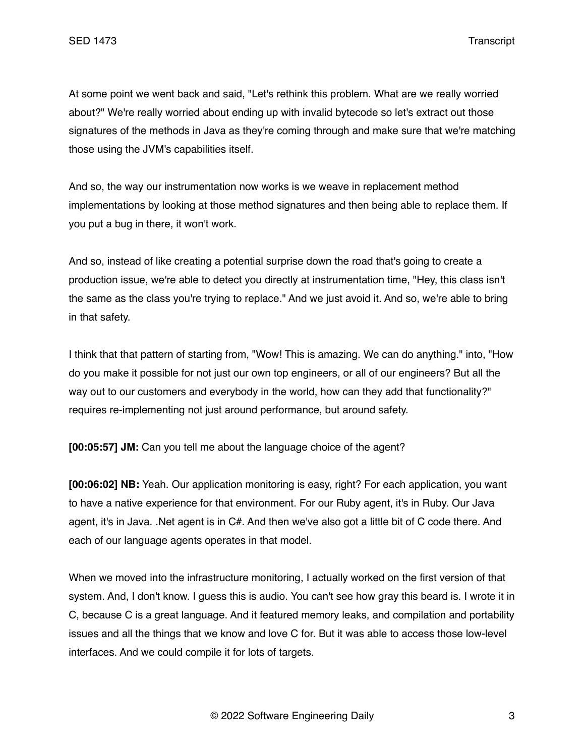At some point we went back and said, "Let's rethink this problem. What are we really worried about?" We're really worried about ending up with invalid bytecode so let's extract out those signatures of the methods in Java as they're coming through and make sure that we're matching those using the JVM's capabilities itself.

And so, the way our instrumentation now works is we weave in replacement method implementations by looking at those method signatures and then being able to replace them. If you put a bug in there, it won't work.

And so, instead of like creating a potential surprise down the road that's going to create a production issue, we're able to detect you directly at instrumentation time, "Hey, this class isn't the same as the class you're trying to replace." And we just avoid it. And so, we're able to bring in that safety.

I think that that pattern of starting from, "Wow! This is amazing. We can do anything." into, "How do you make it possible for not just our own top engineers, or all of our engineers? But all the way out to our customers and everybody in the world, how can they add that functionality?" requires re-implementing not just around performance, but around safety.

**[00:05:57] JM:** Can you tell me about the language choice of the agent?

**[00:06:02] NB:** Yeah. Our application monitoring is easy, right? For each application, you want to have a native experience for that environment. For our Ruby agent, it's in Ruby. Our Java agent, it's in Java. .Net agent is in C#. And then we've also got a little bit of C code there. And each of our language agents operates in that model.

When we moved into the infrastructure monitoring, I actually worked on the first version of that system. And, I don't know. I guess this is audio. You can't see how gray this beard is. I wrote it in C, because C is a great language. And it featured memory leaks, and compilation and portability issues and all the things that we know and love C for. But it was able to access those low-level interfaces. And we could compile it for lots of targets.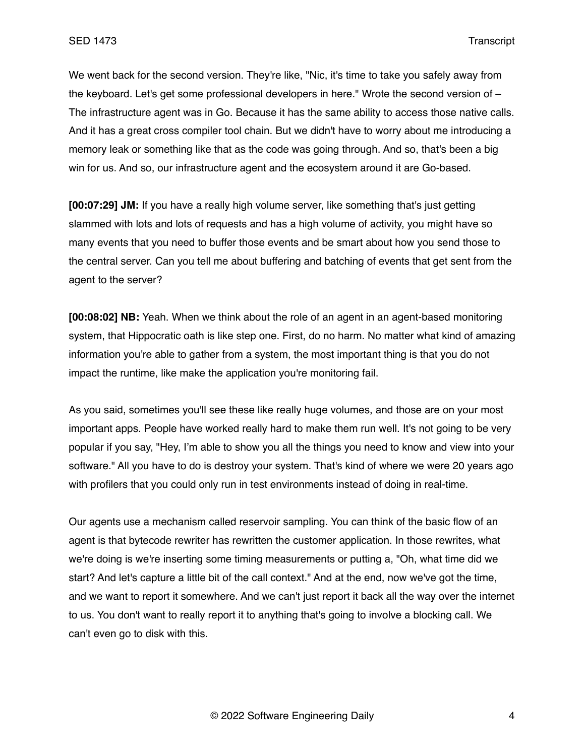We went back for the second version. They're like, "Nic, it's time to take you safely away from the keyboard. Let's get some professional developers in here." Wrote the second version of – The infrastructure agent was in Go. Because it has the same ability to access those native calls. And it has a great cross compiler tool chain. But we didn't have to worry about me introducing a memory leak or something like that as the code was going through. And so, that's been a big win for us. And so, our infrastructure agent and the ecosystem around it are Go-based.

**[00:07:29] JM:** If you have a really high volume server, like something that's just getting slammed with lots and lots of requests and has a high volume of activity, you might have so many events that you need to buffer those events and be smart about how you send those to the central server. Can you tell me about buffering and batching of events that get sent from the agent to the server?

**[00:08:02] NB:** Yeah. When we think about the role of an agent in an agent-based monitoring system, that Hippocratic oath is like step one. First, do no harm. No matter what kind of amazing information you're able to gather from a system, the most important thing is that you do not impact the runtime, like make the application you're monitoring fail.

As you said, sometimes you'll see these like really huge volumes, and those are on your most important apps. People have worked really hard to make them run well. It's not going to be very popular if you say, "Hey, I'm able to show you all the things you need to know and view into your software." All you have to do is destroy your system. That's kind of where we were 20 years ago with profilers that you could only run in test environments instead of doing in real-time.

Our agents use a mechanism called reservoir sampling. You can think of the basic flow of an agent is that bytecode rewriter has rewritten the customer application. In those rewrites, what we're doing is we're inserting some timing measurements or putting a, "Oh, what time did we start? And let's capture a little bit of the call context." And at the end, now we've got the time, and we want to report it somewhere. And we can't just report it back all the way over the internet to us. You don't want to really report it to anything that's going to involve a blocking call. We can't even go to disk with this.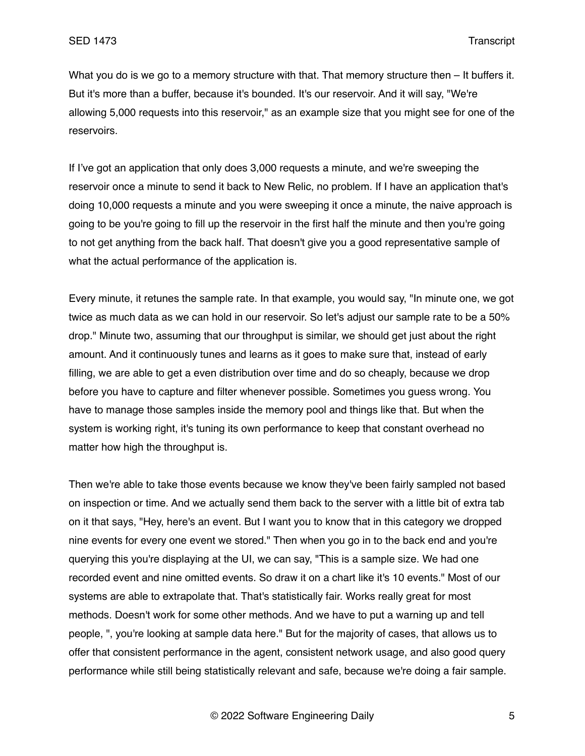What you do is we go to a memory structure with that. That memory structure then – It buffers it. But it's more than a buffer, because it's bounded. It's our reservoir. And it will say, "We're allowing 5,000 requests into this reservoir," as an example size that you might see for one of the reservoirs.

If I've got an application that only does 3,000 requests a minute, and we're sweeping the reservoir once a minute to send it back to New Relic, no problem. If I have an application that's doing 10,000 requests a minute and you were sweeping it once a minute, the naive approach is going to be you're going to fill up the reservoir in the first half the minute and then you're going to not get anything from the back half. That doesn't give you a good representative sample of what the actual performance of the application is.

Every minute, it retunes the sample rate. In that example, you would say, "In minute one, we got twice as much data as we can hold in our reservoir. So let's adjust our sample rate to be a 50% drop." Minute two, assuming that our throughput is similar, we should get just about the right amount. And it continuously tunes and learns as it goes to make sure that, instead of early filling, we are able to get a even distribution over time and do so cheaply, because we drop before you have to capture and filter whenever possible. Sometimes you guess wrong. You have to manage those samples inside the memory pool and things like that. But when the system is working right, it's tuning its own performance to keep that constant overhead no matter how high the throughput is.

Then we're able to take those events because we know they've been fairly sampled not based on inspection or time. And we actually send them back to the server with a little bit of extra tab on it that says, "Hey, here's an event. But I want you to know that in this category we dropped nine events for every one event we stored." Then when you go in to the back end and you're querying this you're displaying at the UI, we can say, "This is a sample size. We had one recorded event and nine omitted events. So draw it on a chart like it's 10 events." Most of our systems are able to extrapolate that. That's statistically fair. Works really great for most methods. Doesn't work for some other methods. And we have to put a warning up and tell people, ", you're looking at sample data here." But for the majority of cases, that allows us to offer that consistent performance in the agent, consistent network usage, and also good query performance while still being statistically relevant and safe, because we're doing a fair sample.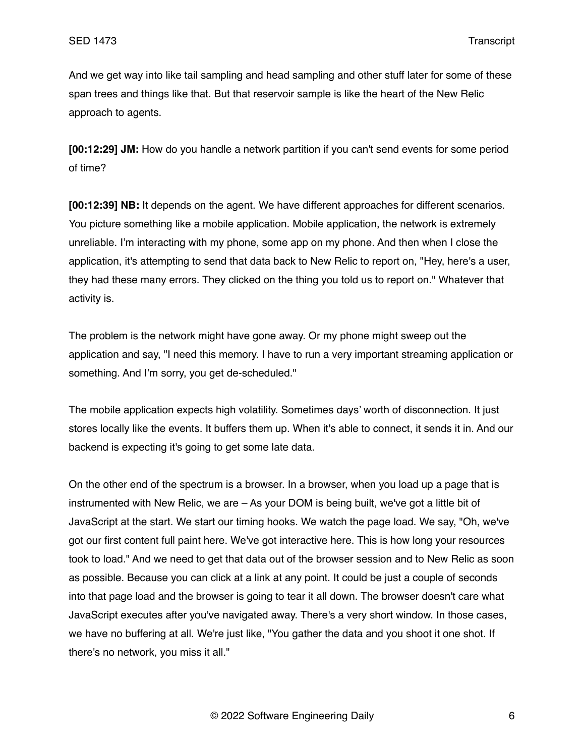And we get way into like tail sampling and head sampling and other stuff later for some of these span trees and things like that. But that reservoir sample is like the heart of the New Relic approach to agents.

**[00:12:29] JM:** How do you handle a network partition if you can't send events for some period of time?

**[00:12:39] NB:** It depends on the agent. We have different approaches for different scenarios. You picture something like a mobile application. Mobile application, the network is extremely unreliable. I'm interacting with my phone, some app on my phone. And then when I close the application, it's attempting to send that data back to New Relic to report on, "Hey, here's a user, they had these many errors. They clicked on the thing you told us to report on." Whatever that activity is.

The problem is the network might have gone away. Or my phone might sweep out the application and say, "I need this memory. I have to run a very important streaming application or something. And I'm sorry, you get de-scheduled."

The mobile application expects high volatility. Sometimes days' worth of disconnection. It just stores locally like the events. It buffers them up. When it's able to connect, it sends it in. And our backend is expecting it's going to get some late data.

On the other end of the spectrum is a browser. In a browser, when you load up a page that is instrumented with New Relic, we are – As your DOM is being built, we've got a little bit of JavaScript at the start. We start our timing hooks. We watch the page load. We say, "Oh, we've got our first content full paint here. We've got interactive here. This is how long your resources took to load." And we need to get that data out of the browser session and to New Relic as soon as possible. Because you can click at a link at any point. It could be just a couple of seconds into that page load and the browser is going to tear it all down. The browser doesn't care what JavaScript executes after you've navigated away. There's a very short window. In those cases, we have no buffering at all. We're just like, "You gather the data and you shoot it one shot. If there's no network, you miss it all."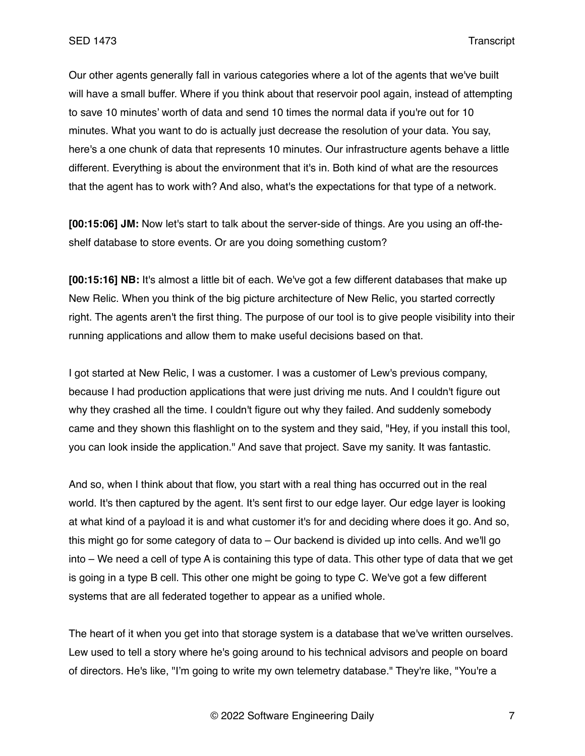Our other agents generally fall in various categories where a lot of the agents that we've built will have a small buffer. Where if you think about that reservoir pool again, instead of attempting to save 10 minutes' worth of data and send 10 times the normal data if you're out for 10 minutes. What you want to do is actually just decrease the resolution of your data. You say, here's a one chunk of data that represents 10 minutes. Our infrastructure agents behave a little different. Everything is about the environment that it's in. Both kind of what are the resources that the agent has to work with? And also, what's the expectations for that type of a network.

**[00:15:06] JM:** Now let's start to talk about the server-side of things. Are you using an off-theshelf database to store events. Or are you doing something custom?

**[00:15:16] NB:** It's almost a little bit of each. We've got a few different databases that make up New Relic. When you think of the big picture architecture of New Relic, you started correctly right. The agents aren't the first thing. The purpose of our tool is to give people visibility into their running applications and allow them to make useful decisions based on that.

I got started at New Relic, I was a customer. I was a customer of Lew's previous company, because I had production applications that were just driving me nuts. And I couldn't figure out why they crashed all the time. I couldn't figure out why they failed. And suddenly somebody came and they shown this flashlight on to the system and they said, "Hey, if you install this tool, you can look inside the application." And save that project. Save my sanity. It was fantastic.

And so, when I think about that flow, you start with a real thing has occurred out in the real world. It's then captured by the agent. It's sent first to our edge layer. Our edge layer is looking at what kind of a payload it is and what customer it's for and deciding where does it go. And so, this might go for some category of data to – Our backend is divided up into cells. And we'll go into – We need a cell of type A is containing this type of data. This other type of data that we get is going in a type B cell. This other one might be going to type C. We've got a few different systems that are all federated together to appear as a unified whole.

The heart of it when you get into that storage system is a database that we've written ourselves. Lew used to tell a story where he's going around to his technical advisors and people on board of directors. He's like, "I'm going to write my own telemetry database." They're like, "You're a

© 2022 Software Engineering Daily 7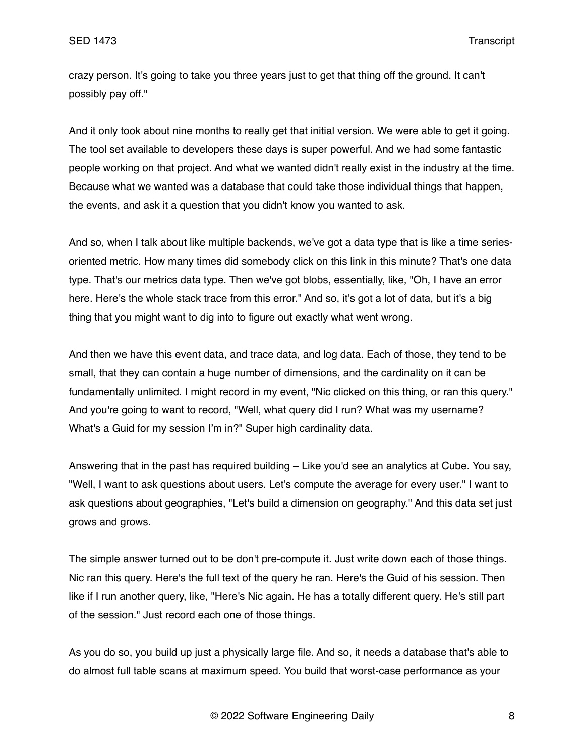crazy person. It's going to take you three years just to get that thing off the ground. It can't possibly pay off."

And it only took about nine months to really get that initial version. We were able to get it going. The tool set available to developers these days is super powerful. And we had some fantastic people working on that project. And what we wanted didn't really exist in the industry at the time. Because what we wanted was a database that could take those individual things that happen, the events, and ask it a question that you didn't know you wanted to ask.

And so, when I talk about like multiple backends, we've got a data type that is like a time seriesoriented metric. How many times did somebody click on this link in this minute? That's one data type. That's our metrics data type. Then we've got blobs, essentially, like, "Oh, I have an error here. Here's the whole stack trace from this error." And so, it's got a lot of data, but it's a big thing that you might want to dig into to figure out exactly what went wrong.

And then we have this event data, and trace data, and log data. Each of those, they tend to be small, that they can contain a huge number of dimensions, and the cardinality on it can be fundamentally unlimited. I might record in my event, "Nic clicked on this thing, or ran this query." And you're going to want to record, "Well, what query did I run? What was my username? What's a Guid for my session I'm in?" Super high cardinality data.

Answering that in the past has required building – Like you'd see an analytics at Cube. You say, "Well, I want to ask questions about users. Let's compute the average for every user." I want to ask questions about geographies, "Let's build a dimension on geography." And this data set just grows and grows.

The simple answer turned out to be don't pre-compute it. Just write down each of those things. Nic ran this query. Here's the full text of the query he ran. Here's the Guid of his session. Then like if I run another query, like, "Here's Nic again. He has a totally different query. He's still part of the session." Just record each one of those things.

As you do so, you build up just a physically large file. And so, it needs a database that's able to do almost full table scans at maximum speed. You build that worst-case performance as your

© 2022 Software Engineering Daily 8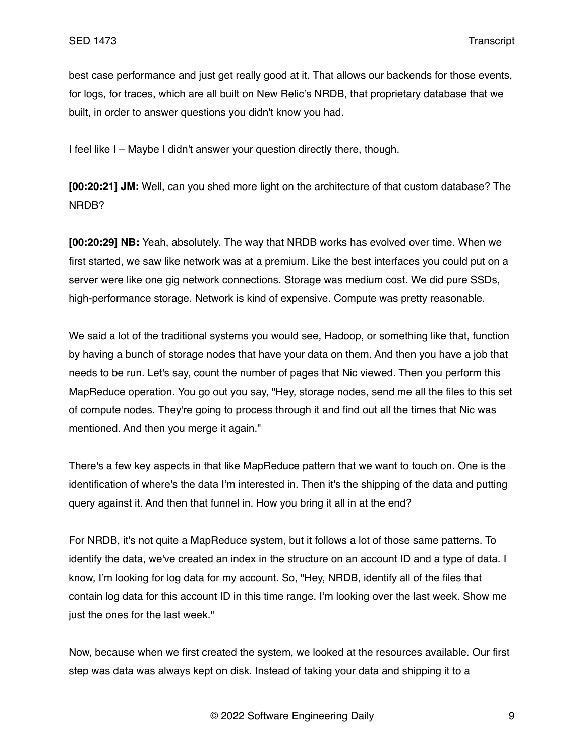best case performance and just get really good at it. That allows our backends for those events, for logs, for traces, which are all built on New Relic's NRDB, that proprietary database that we built, in order to answer questions you didn't know you had.

I feel like I – Maybe I didn't answer your question directly there, though.

**[00:20:21] JM:** Well, can you shed more light on the architecture of that custom database? The NRDB?

**[00:20:29] NB:** Yeah, absolutely. The way that NRDB works has evolved over time. When we first started, we saw like network was at a premium. Like the best interfaces you could put on a server were like one gig network connections. Storage was medium cost. We did pure SSDs, high-performance storage. Network is kind of expensive. Compute was pretty reasonable.

We said a lot of the traditional systems you would see, Hadoop, or something like that, function by having a bunch of storage nodes that have your data on them. And then you have a job that needs to be run. Let's say, count the number of pages that Nic viewed. Then you perform this MapReduce operation. You go out you say, "Hey, storage nodes, send me all the files to this set of compute nodes. They're going to process through it and find out all the times that Nic was mentioned. And then you merge it again."

There's a few key aspects in that like MapReduce pattern that we want to touch on. One is the identification of where's the data I'm interested in. Then it's the shipping of the data and putting query against it. And then that funnel in. How you bring it all in at the end?

For NRDB, it's not quite a MapReduce system, but it follows a lot of those same patterns. To identify the data, we've created an index in the structure on an account ID and a type of data. I know, I'm looking for log data for my account. So, "Hey, NRDB, identify all of the files that contain log data for this account ID in this time range. I'm looking over the last week. Show me just the ones for the last week."

Now, because when we first created the system, we looked at the resources available. Our first step was data was always kept on disk. Instead of taking your data and shipping it to a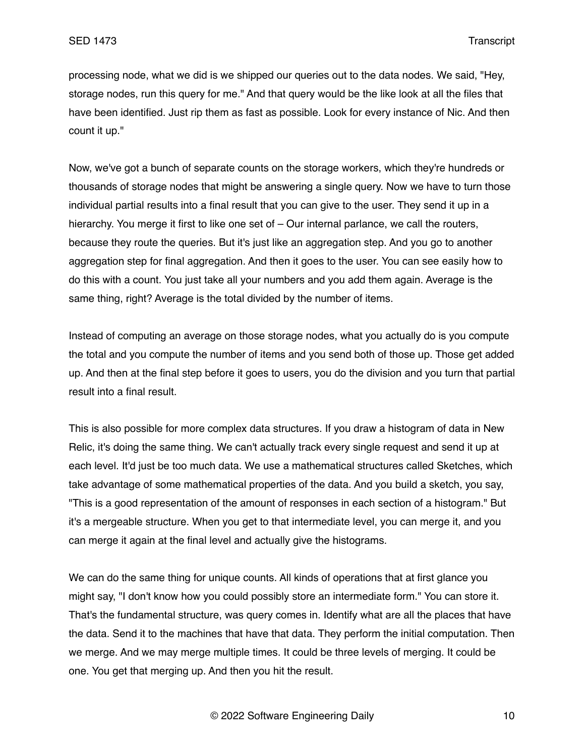processing node, what we did is we shipped our queries out to the data nodes. We said, "Hey, storage nodes, run this query for me." And that query would be the like look at all the files that have been identified. Just rip them as fast as possible. Look for every instance of Nic. And then count it up."

Now, we've got a bunch of separate counts on the storage workers, which they're hundreds or thousands of storage nodes that might be answering a single query. Now we have to turn those individual partial results into a final result that you can give to the user. They send it up in a hierarchy. You merge it first to like one set of – Our internal parlance, we call the routers, because they route the queries. But it's just like an aggregation step. And you go to another aggregation step for final aggregation. And then it goes to the user. You can see easily how to do this with a count. You just take all your numbers and you add them again. Average is the same thing, right? Average is the total divided by the number of items.

Instead of computing an average on those storage nodes, what you actually do is you compute the total and you compute the number of items and you send both of those up. Those get added up. And then at the final step before it goes to users, you do the division and you turn that partial result into a final result.

This is also possible for more complex data structures. If you draw a histogram of data in New Relic, it's doing the same thing. We can't actually track every single request and send it up at each level. It'd just be too much data. We use a mathematical structures called Sketches, which take advantage of some mathematical properties of the data. And you build a sketch, you say, "This is a good representation of the amount of responses in each section of a histogram." But it's a mergeable structure. When you get to that intermediate level, you can merge it, and you can merge it again at the final level and actually give the histograms.

We can do the same thing for unique counts. All kinds of operations that at first glance you might say, "I don't know how you could possibly store an intermediate form." You can store it. That's the fundamental structure, was query comes in. Identify what are all the places that have the data. Send it to the machines that have that data. They perform the initial computation. Then we merge. And we may merge multiple times. It could be three levels of merging. It could be one. You get that merging up. And then you hit the result.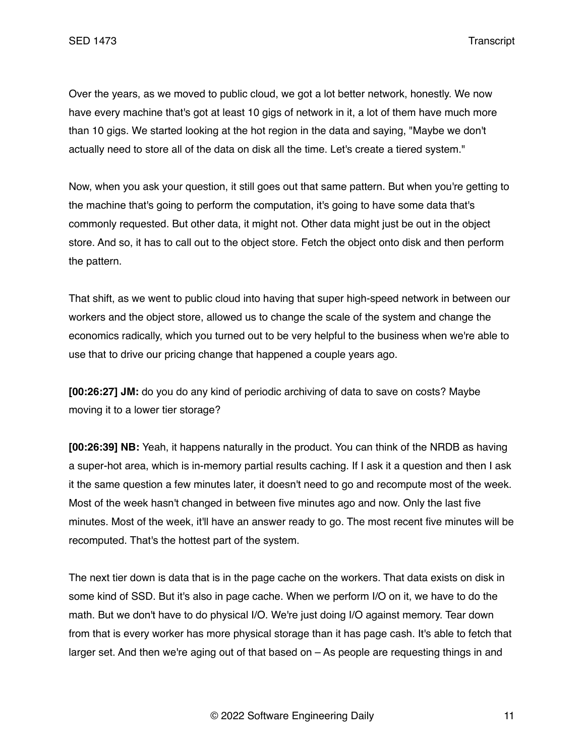Over the years, as we moved to public cloud, we got a lot better network, honestly. We now have every machine that's got at least 10 gigs of network in it, a lot of them have much more than 10 gigs. We started looking at the hot region in the data and saying, "Maybe we don't actually need to store all of the data on disk all the time. Let's create a tiered system."

Now, when you ask your question, it still goes out that same pattern. But when you're getting to the machine that's going to perform the computation, it's going to have some data that's commonly requested. But other data, it might not. Other data might just be out in the object store. And so, it has to call out to the object store. Fetch the object onto disk and then perform the pattern.

That shift, as we went to public cloud into having that super high-speed network in between our workers and the object store, allowed us to change the scale of the system and change the economics radically, which you turned out to be very helpful to the business when we're able to use that to drive our pricing change that happened a couple years ago.

**[00:26:27] JM:** do you do any kind of periodic archiving of data to save on costs? Maybe moving it to a lower tier storage?

**[00:26:39] NB:** Yeah, it happens naturally in the product. You can think of the NRDB as having a super-hot area, which is in-memory partial results caching. If I ask it a question and then I ask it the same question a few minutes later, it doesn't need to go and recompute most of the week. Most of the week hasn't changed in between five minutes ago and now. Only the last five minutes. Most of the week, it'll have an answer ready to go. The most recent five minutes will be recomputed. That's the hottest part of the system.

The next tier down is data that is in the page cache on the workers. That data exists on disk in some kind of SSD. But it's also in page cache. When we perform I/O on it, we have to do the math. But we don't have to do physical I/O. We're just doing I/O against memory. Tear down from that is every worker has more physical storage than it has page cash. It's able to fetch that larger set. And then we're aging out of that based on – As people are requesting things in and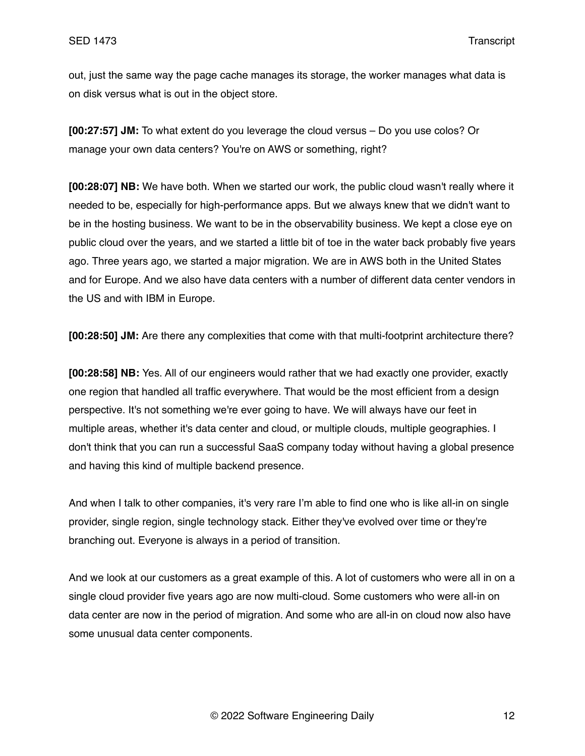out, just the same way the page cache manages its storage, the worker manages what data is on disk versus what is out in the object store.

**[00:27:57] JM:** To what extent do you leverage the cloud versus – Do you use colos? Or manage your own data centers? You're on AWS or something, right?

**[00:28:07] NB:** We have both. When we started our work, the public cloud wasn't really where it needed to be, especially for high-performance apps. But we always knew that we didn't want to be in the hosting business. We want to be in the observability business. We kept a close eye on public cloud over the years, and we started a little bit of toe in the water back probably five years ago. Three years ago, we started a major migration. We are in AWS both in the United States and for Europe. And we also have data centers with a number of different data center vendors in the US and with IBM in Europe.

**[00:28:50] JM:** Are there any complexities that come with that multi-footprint architecture there?

**[00:28:58] NB:** Yes. All of our engineers would rather that we had exactly one provider, exactly one region that handled all traffic everywhere. That would be the most efficient from a design perspective. It's not something we're ever going to have. We will always have our feet in multiple areas, whether it's data center and cloud, or multiple clouds, multiple geographies. I don't think that you can run a successful SaaS company today without having a global presence and having this kind of multiple backend presence.

And when I talk to other companies, it's very rare I'm able to find one who is like all-in on single provider, single region, single technology stack. Either they've evolved over time or they're branching out. Everyone is always in a period of transition.

And we look at our customers as a great example of this. A lot of customers who were all in on a single cloud provider five years ago are now multi-cloud. Some customers who were all-in on data center are now in the period of migration. And some who are all-in on cloud now also have some unusual data center components.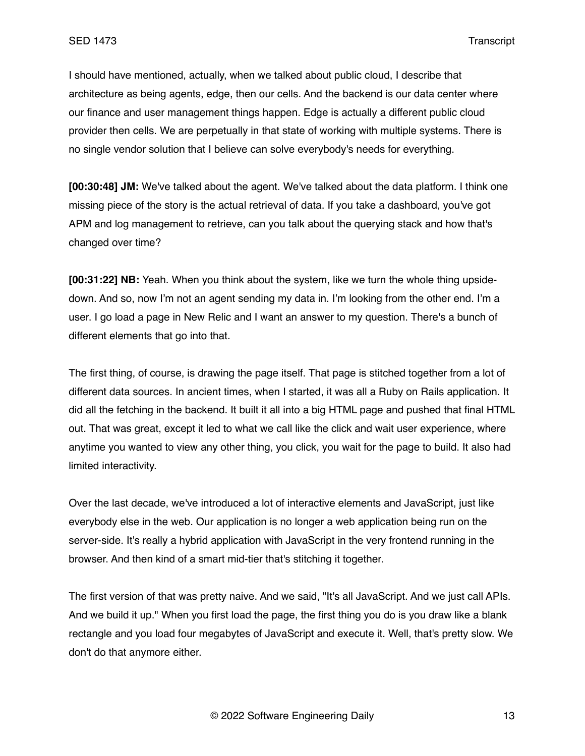I should have mentioned, actually, when we talked about public cloud, I describe that architecture as being agents, edge, then our cells. And the backend is our data center where our finance and user management things happen. Edge is actually a different public cloud provider then cells. We are perpetually in that state of working with multiple systems. There is no single vendor solution that I believe can solve everybody's needs for everything.

**[00:30:48] JM:** We've talked about the agent. We've talked about the data platform. I think one missing piece of the story is the actual retrieval of data. If you take a dashboard, you've got APM and log management to retrieve, can you talk about the querying stack and how that's changed over time?

**[00:31:22] NB:** Yeah. When you think about the system, like we turn the whole thing upsidedown. And so, now I'm not an agent sending my data in. I'm looking from the other end. I'm a user. I go load a page in New Relic and I want an answer to my question. There's a bunch of different elements that go into that.

The first thing, of course, is drawing the page itself. That page is stitched together from a lot of different data sources. In ancient times, when I started, it was all a Ruby on Rails application. It did all the fetching in the backend. It built it all into a big HTML page and pushed that final HTML out. That was great, except it led to what we call like the click and wait user experience, where anytime you wanted to view any other thing, you click, you wait for the page to build. It also had limited interactivity.

Over the last decade, we've introduced a lot of interactive elements and JavaScript, just like everybody else in the web. Our application is no longer a web application being run on the server-side. It's really a hybrid application with JavaScript in the very frontend running in the browser. And then kind of a smart mid-tier that's stitching it together.

The first version of that was pretty naive. And we said, "It's all JavaScript. And we just call APIs. And we build it up." When you first load the page, the first thing you do is you draw like a blank rectangle and you load four megabytes of JavaScript and execute it. Well, that's pretty slow. We don't do that anymore either.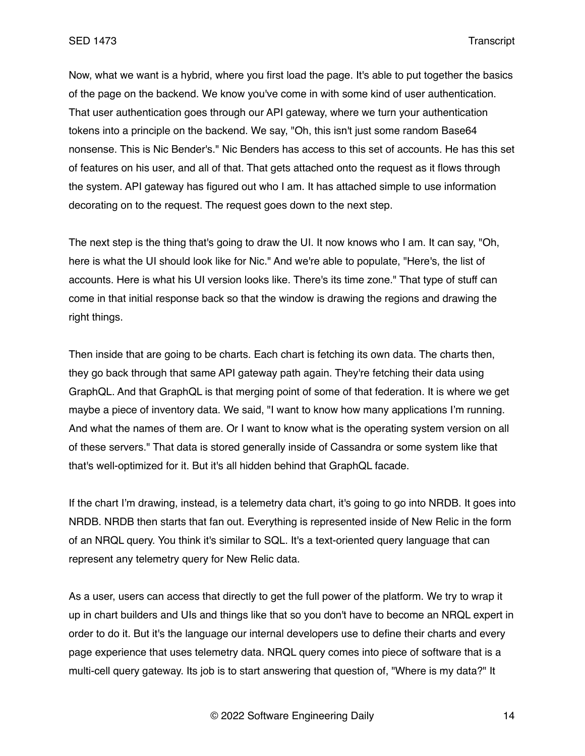Now, what we want is a hybrid, where you first load the page. It's able to put together the basics of the page on the backend. We know you've come in with some kind of user authentication. That user authentication goes through our API gateway, where we turn your authentication tokens into a principle on the backend. We say, "Oh, this isn't just some random Base64 nonsense. This is Nic Bender's." Nic Benders has access to this set of accounts. He has this set of features on his user, and all of that. That gets attached onto the request as it flows through the system. API gateway has figured out who I am. It has attached simple to use information decorating on to the request. The request goes down to the next step.

The next step is the thing that's going to draw the UI. It now knows who I am. It can say, "Oh, here is what the UI should look like for Nic." And we're able to populate, "Here's, the list of accounts. Here is what his UI version looks like. There's its time zone." That type of stuff can come in that initial response back so that the window is drawing the regions and drawing the right things.

Then inside that are going to be charts. Each chart is fetching its own data. The charts then, they go back through that same API gateway path again. They're fetching their data using GraphQL. And that GraphQL is that merging point of some of that federation. It is where we get maybe a piece of inventory data. We said, "I want to know how many applications I'm running. And what the names of them are. Or I want to know what is the operating system version on all of these servers." That data is stored generally inside of Cassandra or some system like that that's well-optimized for it. But it's all hidden behind that GraphQL facade.

If the chart I'm drawing, instead, is a telemetry data chart, it's going to go into NRDB. It goes into NRDB. NRDB then starts that fan out. Everything is represented inside of New Relic in the form of an NRQL query. You think it's similar to SQL. It's a text-oriented query language that can represent any telemetry query for New Relic data.

As a user, users can access that directly to get the full power of the platform. We try to wrap it up in chart builders and UIs and things like that so you don't have to become an NRQL expert in order to do it. But it's the language our internal developers use to define their charts and every page experience that uses telemetry data. NRQL query comes into piece of software that is a multi-cell query gateway. Its job is to start answering that question of, "Where is my data?" It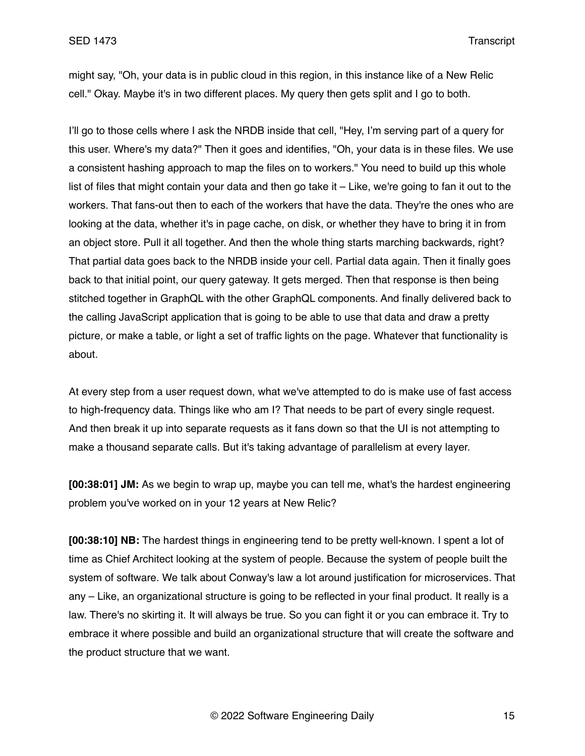might say, "Oh, your data is in public cloud in this region, in this instance like of a New Relic cell." Okay. Maybe it's in two different places. My query then gets split and I go to both.

I'll go to those cells where I ask the NRDB inside that cell, "Hey, I'm serving part of a query for this user. Where's my data?" Then it goes and identifies, "Oh, your data is in these files. We use a consistent hashing approach to map the files on to workers." You need to build up this whole list of files that might contain your data and then go take it – Like, we're going to fan it out to the workers. That fans-out then to each of the workers that have the data. They're the ones who are looking at the data, whether it's in page cache, on disk, or whether they have to bring it in from an object store. Pull it all together. And then the whole thing starts marching backwards, right? That partial data goes back to the NRDB inside your cell. Partial data again. Then it finally goes back to that initial point, our query gateway. It gets merged. Then that response is then being stitched together in GraphQL with the other GraphQL components. And finally delivered back to the calling JavaScript application that is going to be able to use that data and draw a pretty picture, or make a table, or light a set of traffic lights on the page. Whatever that functionality is about.

At every step from a user request down, what we've attempted to do is make use of fast access to high-frequency data. Things like who am I? That needs to be part of every single request. And then break it up into separate requests as it fans down so that the UI is not attempting to make a thousand separate calls. But it's taking advantage of parallelism at every layer.

**[00:38:01] JM:** As we begin to wrap up, maybe you can tell me, what's the hardest engineering problem you've worked on in your 12 years at New Relic?

**[00:38:10] NB:** The hardest things in engineering tend to be pretty well-known. I spent a lot of time as Chief Architect looking at the system of people. Because the system of people built the system of software. We talk about Conway's law a lot around justification for microservices. That any – Like, an organizational structure is going to be reflected in your final product. It really is a law. There's no skirting it. It will always be true. So you can fight it or you can embrace it. Try to embrace it where possible and build an organizational structure that will create the software and the product structure that we want.